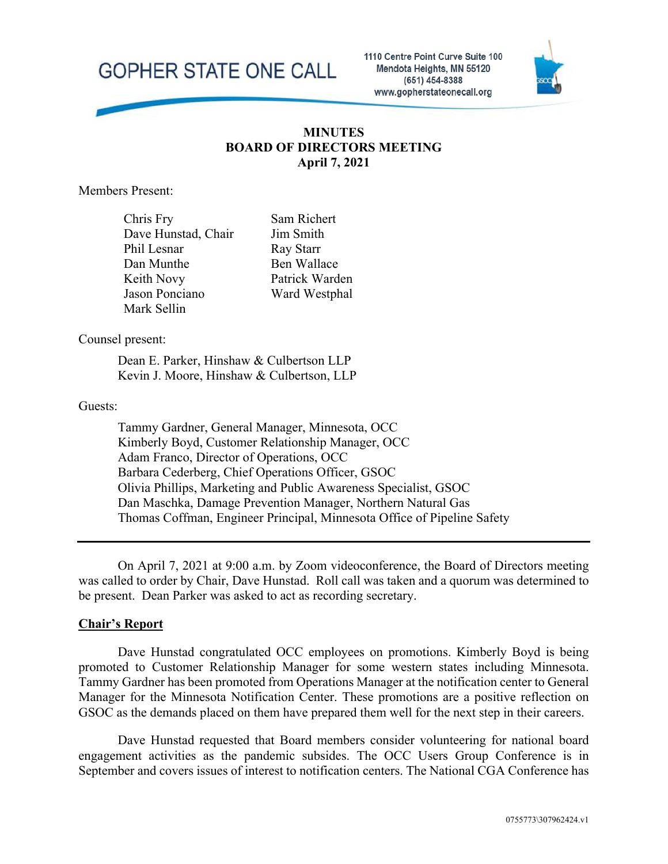**GOPHER STATE ONE CALL** 

1110 Centre Point Curve Suite 100 Mendota Heights, MN 55120 (651) 454-8388 www.gopherstateonecall.org



### **MINUTES BOARD OF DIRECTORS MEETING April 7, 2021**

Members Present:

Chris Fry Dave Hunstad, Chair Phil Lesnar Dan Munthe Keith Novy Jason Ponciano Mark Sellin

Sam Richert Jim Smith Ray Starr Ben Wallace Patrick Warden Ward Westphal

Counsel present:

Dean E. Parker, Hinshaw & Culbertson LLP Kevin J. Moore, Hinshaw & Culbertson, LLP

#### Guests:

Tammy Gardner, General Manager, Minnesota, OCC Kimberly Boyd, Customer Relationship Manager, OCC Adam Franco, Director of Operations, OCC Barbara Cederberg, Chief Operations Officer, GSOC Olivia Phillips, Marketing and Public Awareness Specialist, GSOC Dan Maschka, Damage Prevention Manager, Northern Natural Gas Thomas Coffman, Engineer Principal, Minnesota Office of Pipeline Safety

On April 7, 2021 at 9:00 a.m. by Zoom videoconference, the Board of Directors meeting was called to order by Chair, Dave Hunstad. Roll call was taken and a quorum was determined to be present. Dean Parker was asked to act as recording secretary.

### **Chair's Report**

Dave Hunstad congratulated OCC employees on promotions. Kimberly Boyd is being promoted to Customer Relationship Manager for some western states including Minnesota. Tammy Gardner has been promoted from Operations Manager at the notification center to General Manager for the Minnesota Notification Center. These promotions are a positive reflection on GSOC as the demands placed on them have prepared them well for the next step in their careers.

Dave Hunstad requested that Board members consider volunteering for national board engagement activities as the pandemic subsides. The OCC Users Group Conference is in September and covers issues of interest to notification centers. The National CGA Conference has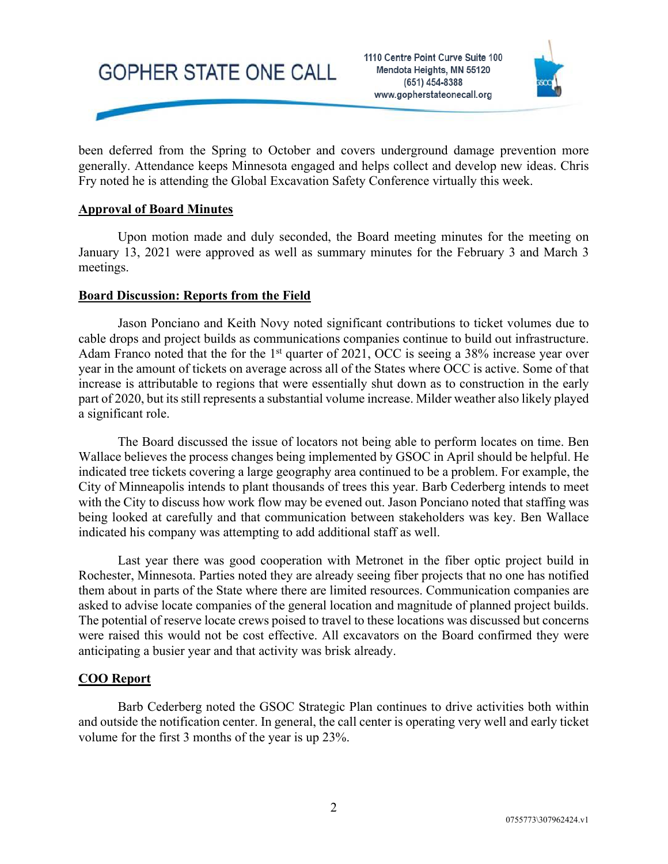



been deferred from the Spring to October and covers underground damage prevention more generally. Attendance keeps Minnesota engaged and helps collect and develop new ideas. Chris Fry noted he is attending the Global Excavation Safety Conference virtually this week.

### **Approval of Board Minutes**

Upon motion made and duly seconded, the Board meeting minutes for the meeting on January 13, 2021 were approved as well as summary minutes for the February 3 and March 3 meetings.

### **Board Discussion: Reports from the Field**

Jason Ponciano and Keith Novy noted significant contributions to ticket volumes due to cable drops and project builds as communications companies continue to build out infrastructure. Adam Franco noted that the for the  $1<sup>st</sup>$  quarter of 2021, OCC is seeing a 38% increase year over year in the amount of tickets on average across all of the States where OCC is active. Some of that increase is attributable to regions that were essentially shut down as to construction in the early part of 2020, but its still represents a substantial volume increase. Milder weather also likely played a significant role.

The Board discussed the issue of locators not being able to perform locates on time. Ben Wallace believes the process changes being implemented by GSOC in April should be helpful. He indicated tree tickets covering a large geography area continued to be a problem. For example, the City of Minneapolis intends to plant thousands of trees this year. Barb Cederberg intends to meet with the City to discuss how work flow may be evened out. Jason Ponciano noted that staffing was being looked at carefully and that communication between stakeholders was key. Ben Wallace indicated his company was attempting to add additional staff as well.

Last year there was good cooperation with Metronet in the fiber optic project build in Rochester, Minnesota. Parties noted they are already seeing fiber projects that no one has notified them about in parts of the State where there are limited resources. Communication companies are asked to advise locate companies of the general location and magnitude of planned project builds. The potential of reserve locate crews poised to travel to these locations was discussed but concerns were raised this would not be cost effective. All excavators on the Board confirmed they were anticipating a busier year and that activity was brisk already.

# **COO Report**

Barb Cederberg noted the GSOC Strategic Plan continues to drive activities both within and outside the notification center. In general, the call center is operating very well and early ticket volume for the first 3 months of the year is up 23%.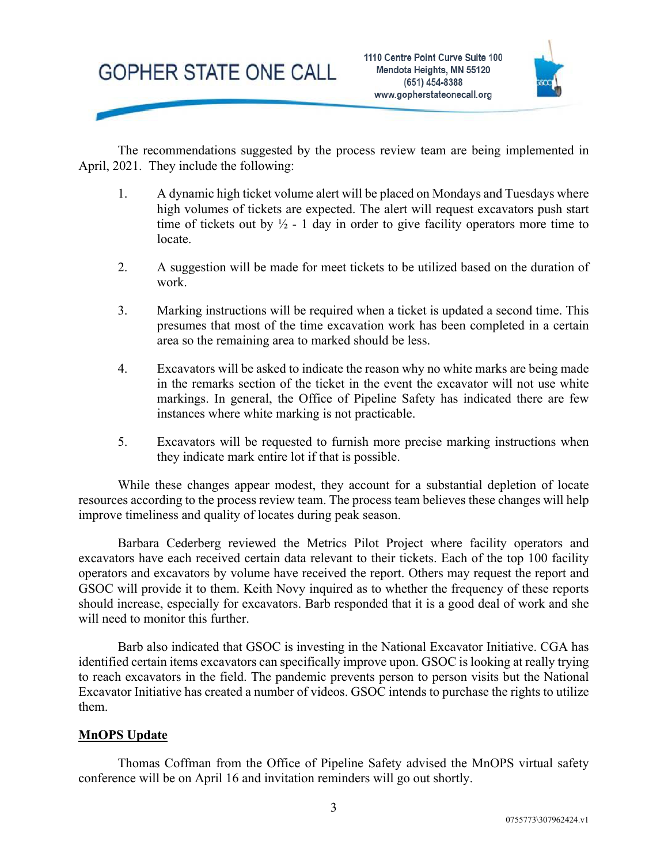# **GOPHER STATE ONE CALL**



The recommendations suggested by the process review team are being implemented in April, 2021. They include the following:

- 1. A dynamic high ticket volume alert will be placed on Mondays and Tuesdays where high volumes of tickets are expected. The alert will request excavators push start time of tickets out by  $\frac{1}{2}$  - 1 day in order to give facility operators more time to locate.
- 2. A suggestion will be made for meet tickets to be utilized based on the duration of work.
- 3. Marking instructions will be required when a ticket is updated a second time. This presumes that most of the time excavation work has been completed in a certain area so the remaining area to marked should be less.
- 4. Excavators will be asked to indicate the reason why no white marks are being made in the remarks section of the ticket in the event the excavator will not use white markings. In general, the Office of Pipeline Safety has indicated there are few instances where white marking is not practicable.
- 5. Excavators will be requested to furnish more precise marking instructions when they indicate mark entire lot if that is possible.

While these changes appear modest, they account for a substantial depletion of locate resources according to the process review team. The process team believes these changes will help improve timeliness and quality of locates during peak season.

Barbara Cederberg reviewed the Metrics Pilot Project where facility operators and excavators have each received certain data relevant to their tickets. Each of the top 100 facility operators and excavators by volume have received the report. Others may request the report and GSOC will provide it to them. Keith Novy inquired as to whether the frequency of these reports should increase, especially for excavators. Barb responded that it is a good deal of work and she will need to monitor this further.

Barb also indicated that GSOC is investing in the National Excavator Initiative. CGA has identified certain items excavators can specifically improve upon. GSOC is looking at really trying to reach excavators in the field. The pandemic prevents person to person visits but the National Excavator Initiative has created a number of videos. GSOC intends to purchase the rights to utilize them.

# **MnOPS Update**

Thomas Coffman from the Office of Pipeline Safety advised the MnOPS virtual safety conference will be on April 16 and invitation reminders will go out shortly.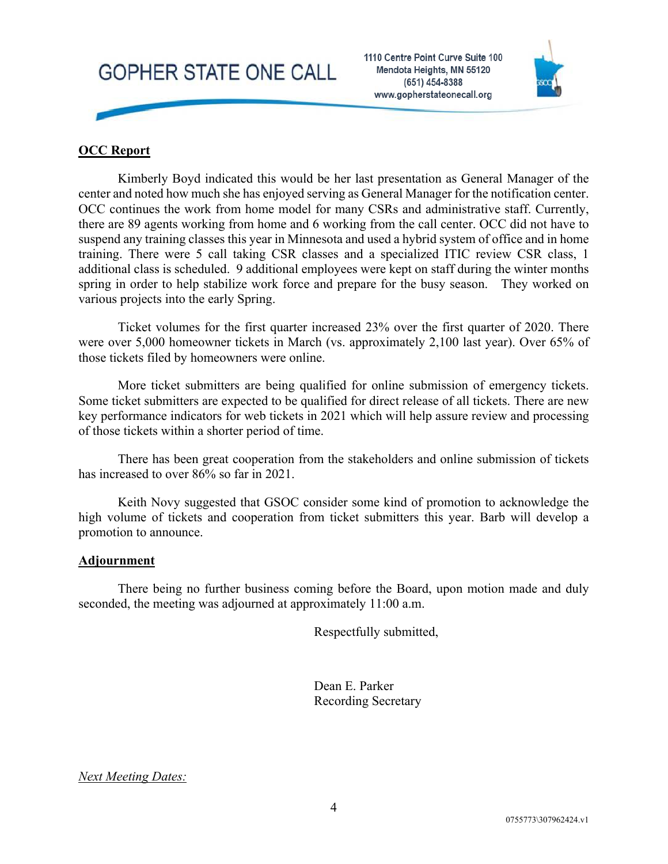



# **OCC Report**

Kimberly Boyd indicated this would be her last presentation as General Manager of the center and noted how much she has enjoyed serving as General Manager for the notification center. OCC continues the work from home model for many CSRs and administrative staff. Currently, there are 89 agents working from home and 6 working from the call center. OCC did not have to suspend any training classes this year in Minnesota and used a hybrid system of office and in home training. There were 5 call taking CSR classes and a specialized ITIC review CSR class, 1 additional class is scheduled. 9 additional employees were kept on staff during the winter months spring in order to help stabilize work force and prepare for the busy season. They worked on various projects into the early Spring.

Ticket volumes for the first quarter increased 23% over the first quarter of 2020. There were over 5,000 homeowner tickets in March (vs. approximately 2,100 last year). Over 65% of those tickets filed by homeowners were online.

More ticket submitters are being qualified for online submission of emergency tickets. Some ticket submitters are expected to be qualified for direct release of all tickets. There are new key performance indicators for web tickets in 2021 which will help assure review and processing of those tickets within a shorter period of time.

There has been great cooperation from the stakeholders and online submission of tickets has increased to over 86% so far in 2021.

Keith Novy suggested that GSOC consider some kind of promotion to acknowledge the high volume of tickets and cooperation from ticket submitters this year. Barb will develop a promotion to announce.

### **Adjournment**

There being no further business coming before the Board, upon motion made and duly seconded, the meeting was adjourned at approximately 11:00 a.m.

Respectfully submitted,

Dean E. Parker Recording Secretary

*Next Meeting Dates:*